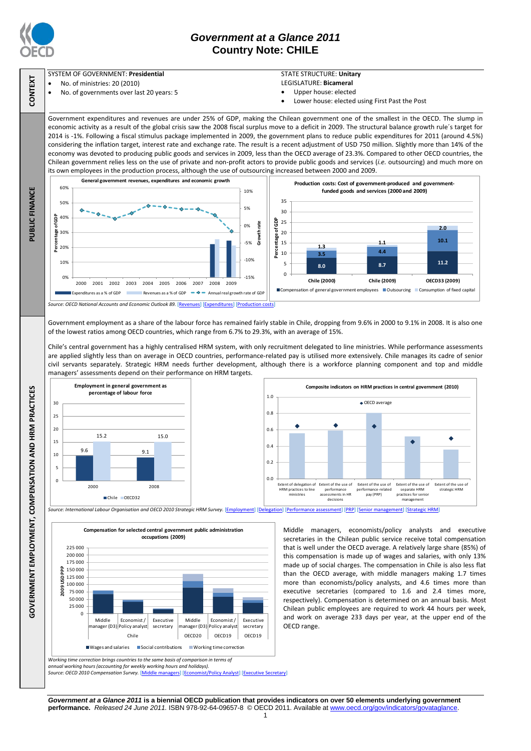

# *Government at a Glance 2011* **Country Note: CHILE**

#### SYSTEM OF GOVERNMENT: **Presidential**

- No. of ministries: 20 (2010)
- No. of governments over last 20 years: 5

### STATE STRUCTURE: **Unitary**

- LEGISLATURE: **Bicameral**
- Upper house: elected
- Lower house: elected using First Past the Post

Middle managers, economists/policy analysts and executive secretaries in the Chilean public service receive total compensation that is well under the OECD average. A relatively large share (85%) of this compensation is made up of wages and salaries, with only 13% made up of social charges. The compensation in Chile is also less flat than the OECD average, with middle managers making 1.7 times more than economists/policy analysts, and 4.6 times more than executive secretaries (compared to 1.6 and 2.4 times more, respectively). Compensation is determined on an annual basis. Most Chilean public employees are required to work 44 hours per week, and work on average 233 days per year, at the upper end of the

é

Government expenditures and revenues are under 25% of GDP, making the Chilean government one of the smallest in the OECD. The slump in economic activity as a result of the global crisis saw the 2008 fiscal surplus move to a deficit in 2009. The structural balance growth rule´s target for 2014 is -1%. Following a fiscal stimulus package implemented in 2009, the government plans to reduce public expenditures for 2011 (around 4.5%) considering the inflation target, interest rate and exchange rate. The result is a recent adjustment of USD 750 million. Slightly more than 14% of the economy was devoted to producing public goods and services in 2009, less than the OECD average of 23.3%. Compared to other OECD countries, the Chilean government relies less on the use of private and non-profit actors to provide public goods and services (*i.e.* outsourcing) and much more on its own employees in the production process, although the use of outsourcing increased between 2000 and 2009.



Government employment as a share of the labour force has remained fairly stable in Chile, dropping from 9.6% in 2000 to 9.1% in 2008. It is also one of the lowest ratios among OECD countries, which range from 6.7% to 29.3%, with an average of 15%.

Chile's central government has a highly centralised HRM system, with only recruitment delegated to line ministries. While performance assessments are applied slightly less than on average in OECD countries, performance-related pay is utilised more extensively. Chile manages its cadre of senior civil servants separately. Strategic HRM needs further development, although there is a workforce planning component and top and middle managers' assessments depend on their performance on HRM targets.





*Working time correction brings countries to the same basis of comparison in terms of*   $\overline{0}$ 25 000 50 000 75 000 100 000 125 000 150 000 175 000 200 000 225 000 Middle manager (D3) Policy analyst Economist / **Executive** secretary Middle manager (D3) Policy analyst Economist / Executive secretary Chile OECD20 OECD19 OECD19 **2009 USD PPP Compensation for selected central government public administration occupations (2009)**

*annual working hours (accounting for weekly working hours and holidays). Source: OECD 2010 Compensation Survey.* [\[Middle managers\]](http://dx.doi.org/10.1787/888932390766) [\[Economist/Policy Analyst\]](http://dx.doi.org/10.1787/888932390785) [\[Executive Secretary\]](http://dx.doi.org/10.1787/888932390804)

*Government at a Glance 2011* **is a biennial OECD publication that provides indicators on over 50 elements underlying government performance.** *Released 24 June 2011.* ISBN 978-92-64-09657-8 © OECD 2011. Available at www.oecd.org/gov/indicators/govataglance.

OECD range.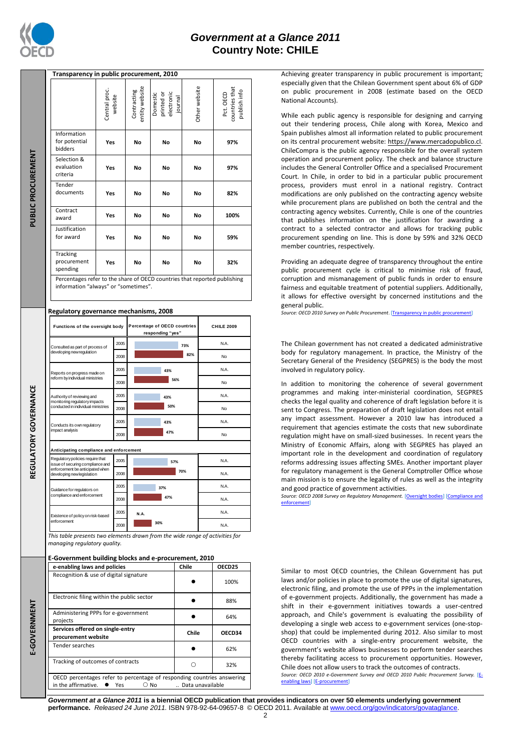

## *Government at a Glance 2011* **Country Note: CHILE**

|                                 | Transparency in public procurement, 2010                                                                                                 |                          |                                                  |                                                                                             |                                      |         |                   |                                             |  |
|---------------------------------|------------------------------------------------------------------------------------------------------------------------------------------|--------------------------|--------------------------------------------------|---------------------------------------------------------------------------------------------|--------------------------------------|---------|-------------------|---------------------------------------------|--|
| <b>PUBLIC PROCUREMENT</b>       |                                                                                                                                          | Central proc.<br>website |                                                  | entity website<br>Contracting                                                               | Domestic<br>electronic<br>printed or | journal | Other website     | countries that<br>publish info<br>Pct. OECD |  |
|                                 | Information<br>for potential<br>bidders                                                                                                  | Yes                      |                                                  | No                                                                                          | No                                   |         | No                | 97%                                         |  |
|                                 | Selection &<br>evaluation<br>criteria                                                                                                    | Yes                      |                                                  | No                                                                                          | No                                   |         | No                | 97%                                         |  |
|                                 | Tender<br>documents                                                                                                                      | Yes                      |                                                  | No                                                                                          | No                                   |         | No                | 82%                                         |  |
|                                 | Contract<br>award                                                                                                                        | Yes                      |                                                  | No                                                                                          | No                                   |         | No                | 100%                                        |  |
|                                 | Justification<br>for award                                                                                                               | Yes                      |                                                  | No                                                                                          | No                                   |         | No                | 59%                                         |  |
|                                 | Tracking<br>procurement<br>spending                                                                                                      | Yes                      |                                                  | No                                                                                          | No                                   |         | No                | 32%                                         |  |
|                                 | Percentages refer to the share of OECD countries that reported publishing<br>information "always" or "sometimes".                        |                          |                                                  |                                                                                             |                                      |         |                   |                                             |  |
|                                 | Regulatory governance mechanisms, 2008                                                                                                   |                          |                                                  |                                                                                             |                                      |         |                   |                                             |  |
|                                 | Functions of the oversight body                                                                                                          |                          | Percentage of OECD countries<br>responding "yes" |                                                                                             |                                      |         | <b>CHILE 2009</b> |                                             |  |
|                                 | Consulted as part of process of<br>developing new regulation                                                                             |                          | 2005                                             | 73%                                                                                         |                                      |         |                   | N.A.                                        |  |
|                                 |                                                                                                                                          |                          | 2008                                             | 82%                                                                                         |                                      |         |                   | No                                          |  |
|                                 | Reports on progress made on<br>reform by individual ministries                                                                           |                          | 2005                                             | 43%                                                                                         |                                      |         |                   | N.A.                                        |  |
| <b>GULATORY GOVERNANCE</b><br>분 |                                                                                                                                          |                          | 2008                                             | 56%                                                                                         |                                      |         |                   | No                                          |  |
|                                 | Authority of reviewing and<br>monitoring regulatory impacts<br>conducted in individual ministries                                        |                          | 2005                                             | 43%<br>50%                                                                                  |                                      |         |                   | N.A.                                        |  |
|                                 |                                                                                                                                          |                          | 2008                                             | No                                                                                          |                                      |         |                   |                                             |  |
|                                 | Conducts its own regulatory<br>impact analysis                                                                                           |                          | 2005<br>2008                                     | N.A.<br>43%<br>47%<br>No                                                                    |                                      |         |                   |                                             |  |
|                                 | Anticipating compliance and enforcement                                                                                                  |                          |                                                  |                                                                                             |                                      |         |                   |                                             |  |
|                                 | Regulatory policies require that<br>issue of securing compliance and<br>nforcement he<br>nticipa<br>aten w<br>developing new legislation |                          | 2005                                             | 57%<br>70%                                                                                  |                                      |         |                   | N.A.                                        |  |
|                                 |                                                                                                                                          |                          | 2008                                             |                                                                                             |                                      |         |                   | N.A.                                        |  |
|                                 | Guidance for regulators on<br>compliance and enforcement                                                                                 |                          | 2005                                             | 37%                                                                                         |                                      |         |                   | N.A.                                        |  |
|                                 |                                                                                                                                          |                          | 2008                                             | 47%                                                                                         |                                      |         |                   | N.A.                                        |  |
|                                 | Existence of policy on risk-based<br>enforcement                                                                                         |                          | 2005                                             | N.A.<br>30%<br>This table presents two elements drawn from the wide range of activities for |                                      |         |                   | N.A.                                        |  |
|                                 |                                                                                                                                          |                          | 2008                                             |                                                                                             |                                      |         |                   | N.A.                                        |  |
|                                 | managing regulatory quality.                                                                                                             |                          |                                                  |                                                                                             |                                      |         |                   |                                             |  |
|                                 | E-Government building blocks and e-procurement, 2010<br>e-enabling laws and policies                                                     |                          |                                                  |                                                                                             | Chile                                |         |                   | OECD25                                      |  |
|                                 | Recognition & use of digital signature                                                                                                   |                          |                                                  |                                                                                             | 100%                                 |         |                   |                                             |  |
|                                 | Electronic filing within the public sector                                                                                               |                          |                                                  |                                                                                             |                                      |         |                   | 88%                                         |  |
| E-GOVERNMENT                    | Administering PPPs for e-government                                                                                                      |                          |                                                  |                                                                                             |                                      |         |                   | 64%                                         |  |
|                                 | projects<br>Services offered on single-entry                                                                                             |                          |                                                  |                                                                                             |                                      | Chile   |                   | OECD34                                      |  |
|                                 | procurement website<br>Tender searches                                                                                                   |                          |                                                  |                                                                                             |                                      |         |                   |                                             |  |
|                                 | Tracking of outcomes of contracts                                                                                                        |                          |                                                  |                                                                                             |                                      | $\circ$ |                   | 62%                                         |  |
|                                 | OECD percentages refer to percentage of responding countries answering                                                                   |                          |                                                  |                                                                                             |                                      |         |                   | 32%                                         |  |
|                                 | in the affirmative.<br>Yes<br>$\circ$ No<br>Data unavailable                                                                             |                          |                                                  |                                                                                             |                                      |         |                   |                                             |  |

Achieving greater transparency in public procurement is important; especially given that the Chilean Government spent about 6% of GDP on public procurement in 2008 (estimate based on the OECD National Accounts).

While each public agency is responsible for designing and carrying out their tendering process, Chile along with Korea, Mexico and Spain publishes almost all information related to public procurement on its central procurement website: [https://www.mercadopublico.cl.](https://www.mercadopublico.cl/)  ChileCompra is the public agency responsible for the overall system operation and procurement policy. The check and balance structure includes the General Controller Office and a specialised Procurement Court. In Chile, in order to bid in a particular public procurement process, providers must enrol in a national registry. Contract modifications are only published on the contracting agency website while procurement plans are published on both the central and the contracting agency websites. Currently, Chile is one of the countries that publishes information on the justification for awarding a contract to a selected contractor and allows for tracking public procurement spending on line. This is done by 59% and 32% OECD member countries, respectively.

Providing an adequate degree of transparency throughout the entire public procurement cycle is critical to minimise risk of fraud, corruption and mismanagement of public funds in order to ensure fairness and equitable treatment of potential suppliers. Additionally, it allows for effective oversight by concerned institutions and the general public.

*Source: OECD 2010 Survey on Public Procurement*. [\[Transparency in public procurement\]](http://dx.doi.org/10.1787/888932392419)

The Chilean government has not created a dedicated administrative body for regulatory management. In practice, the Ministry of the Secretary General of the Presidency (SEGPRES) is the body the most involved in regulatory policy.

In addition to monitoring the coherence of several government programmes and making inter-ministerial coordination, SEGPRES checks the legal quality and coherence of draft legislation before it is sent to Congress. The preparation of draft legislation does not entail any impact assessment. However a 2010 law has introduced a requirement that agencies estimate the costs that new subordinate regulation might have on small-sized businesses. In recent years the Ministry of Economic Affairs, along with SEGPRES has played an important role in the development and coordination of regulatory reforms addressing issues affecting SMEs. Another important player for regulatory management is the General Comptroller Office whose main mission is to ensure the legality of rules as well as the integrity and good practice of government activities.

*Source: OECD 2008 Survey on Regulatory Management.* [\[Oversight bodies\]](http://dx.doi.org/10.1787/888932391127) [\[Compliance and](http://dx.doi.org/10.1787/888932391203)  [enforcement\]](http://dx.doi.org/10.1787/888932391203)

Similar to most OECD countries, the Chilean Government has put laws and/or policies in place to promote the use of digital signatures, electronic filing, and promote the use of PPPs in the implementation of e-government projects. Additionally, the government has made a shift in their e-government initiatives towards a user-centred approach, and Chile's government is evaluating the possibility of developing a single web access to e-government services (one-stopshop) that could be implemented during 2012. Also similar to most OECD countries with a single-entry procurement website, the government's website allows businesses to perform tender searches thereby facilitating access to procurement opportunities. However, Chile does not allow users to track the outcomes of contracts.

*Source: OECD 2010 e-Government Survey and OECD 2010 Public Procurement Survey.* [\[E](http://dx.doi.org/10.1787/888932390519)[enabling laws\]](http://dx.doi.org/10.1787/888932390519) [\[E-procurement\]](http://dx.doi.org/10.1787/888932391089)

*Government at a Glance 2011* **is a biennial OECD publication that provides indicators on over 50 elements underlying government performance.** *Released 24 June 2011.* ISBN 978-92-64-09657-8 © OECD 2011. Available at www.oecd.org/gov/indicators/govataglance.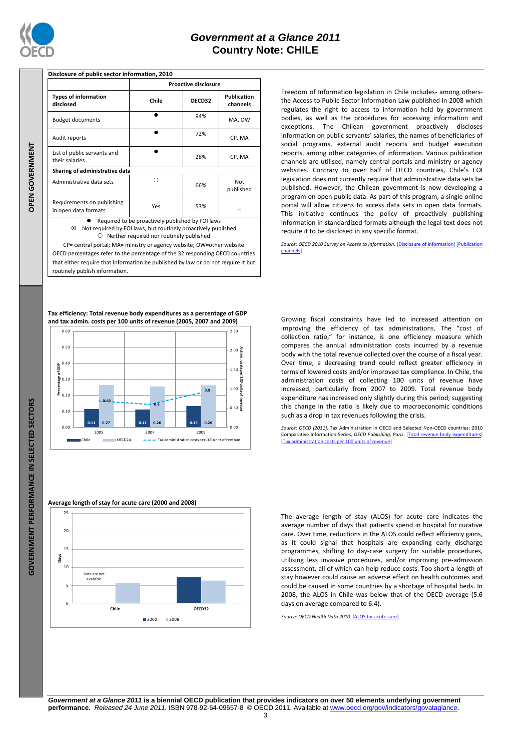

|         | Budget docu                                                                                    |
|---------|------------------------------------------------------------------------------------------------|
|         | Audit report:                                                                                  |
|         | List of public<br>their salaries<br>Sharing of a<br>Administrativ                              |
| N GOVER |                                                                                                |
|         | Requirement<br>in open data                                                                    |
|         | $\odot$<br>Ŋ                                                                                   |
|         | CP= cent<br>OECD percer<br>that either re                                                      |
|         | routinely pul                                                                                  |
|         | Tax efficiency<br>and tax admi<br>0.60<br>0.50<br>0.40<br>0.30<br>0.20<br>0.10<br>0.00<br>I CI |
|         | Average leng<br>25<br>20<br>15<br><b>Days</b><br>10<br>Ì                                       |

 $\overline{0}$ 

**Proactive disclosure Types of information disclosed Chile OECD32 Publication channels** uments  $\bullet$  94% MA, OW .<br>ts  $\bullet$  72% CP, MA ic servants and  $\bullet$ 28% CP, MA

**Disclosure of public sector information, 2010**

**Sharing of administrative data** tive data sets  $\Box$ 66% Not published Requirements on publishing in open data formats<br>in open data formats

Required to be proactively published by FOI laws Not required by FOI laws, but routinely proactively published  $O$  Neither required nor routinely published

CP= central portal; MA= ministry or agency website; OW=other website OECD percentages refer to the percentage of the 32 responding OECD countries that either require that information be published by law or do not require it but routinely publish information.

**Tax efficiency: Total revenue body expenditures as a percentage of GDP and tax admin. costs per 100 units of revenue (2005, 2007 and 2009)**



Freedom of Information legislation in Chile includes- among othersthe Access to Public Sector Information Law published in 2008 which regulates the right to access to information held by government bodies, as well as the procedures for accessing information and exceptions. The Chilean government proactively discloses information on public servants' salaries, the names of beneficiaries of social programs, external audit reports and budget execution reports, among other categories of information. Various publication channels are utilised, namely central portals and ministry or agency websites. Contrary to over half of OECD countries, Chile's FOI legislation does not currently require that administrative data sets be published. However, the Chilean government is now developing a program on open public data. As part of this program, a single online portal will allow citizens to access data sets in open data formats. This initiative continues the policy of proactively publishing information in standardized formats although the legal text does not require it to be disclosed in any specific format.

*Source: OECD 2010 Survey on Access to Information.* [\[Disclosure of information\]](http://dx.doi.org/10.1787/888932392153) [\[Publication](http://dx.doi.org/10.1787/888932392172)  [channels\]](http://dx.doi.org/10.1787/888932392172)

Growing fiscal constraints have led to increased attention on improving the efficiency of tax administrations. The "cost of collection ratio," for instance, is one efficiency measure which compares the annual administration costs incurred by a revenue body with the total revenue collected over the course of a fiscal year. Over time, a decreasing trend could reflect greater efficiency in terms of lowered costs and/or improved tax compliance. In Chile, the administration costs of collecting 100 units of revenue have increased, particularly from 2007 to 2009. Total revenue body expenditure has increased only slightly during this period, suggesting this change in the ratio is likely due to macroeconomic conditions such as a drop in tax revenues following the crisis.

*Source: OECD (2011),* Tax Administration in OECD and Selected Non-OECD countries: 2010 Comparative Information Series*, OECD Publishing, Paris*. [\[Total revenue body expenditures\]](http://dx.doi.org/10.1787/888932391773)  [\[Tax administration costs per 100 units of revenue\]](http://dx.doi.org/10.1787/888932391754)

The average length of stay (ALOS) for acute care indicates the average number of days that patients spend in hospital for curative care. Over time, reductions in the ALOS could reflect efficiency gains, as it could signal that hospitals are expanding early discharge programmes, shifting to day-case surgery for suitable procedures, utilising less invasive procedures, and/or improving pre-admission assessment, all of which can help reduce costs. Too short a length of stay however could cause an adverse effect on health outcomes and could be caused in some countries by a shortage of hospital beds. In 2008, the ALOS in Chile was below that of the OECD average (5.6 days on average compared to 6.4).

*Source: OECD Health Data 2010*. [\[ALOS for acute care\]](http://dx.doi.org/10.1787/888932391697)



**Chile OECD32**

2000 2008

*Government at a Glance 2011* **is a biennial OECD publication that provides indicators on over 50 elements underlying government performance.** *Released 24 June 2011.* ISBN 978-92-64-09657-8 © OECD 2011. Available at www.oecd.org/gov/indicators/govataglance.